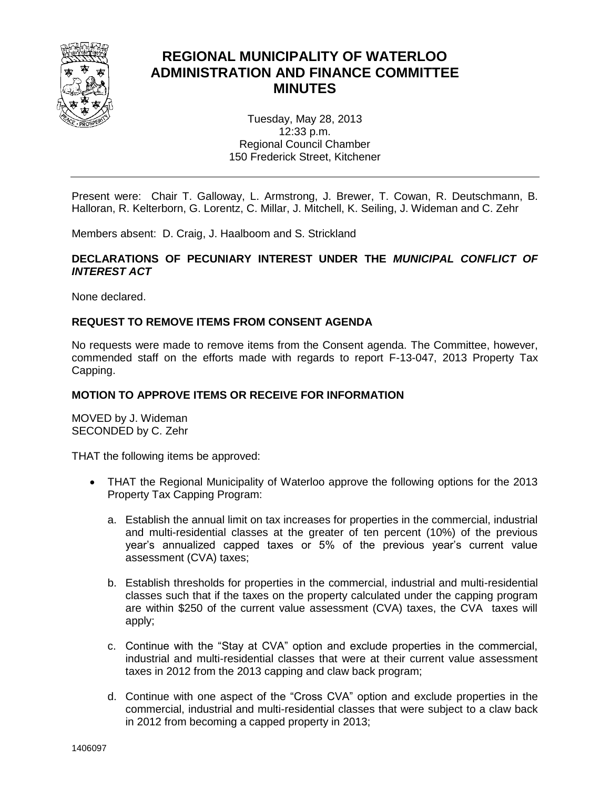

# **REGIONAL MUNICIPALITY OF WATERLOO ADMINISTRATION AND FINANCE COMMITTEE MINUTES**

Tuesday, May 28, 2013 12:33 p.m. Regional Council Chamber 150 Frederick Street, Kitchener

Present were: Chair T. Galloway, L. Armstrong, J. Brewer, T. Cowan, R. Deutschmann, B. Halloran, R. Kelterborn, G. Lorentz, C. Millar, J. Mitchell, K. Seiling, J. Wideman and C. Zehr

Members absent: D. Craig, J. Haalboom and S. Strickland

# **DECLARATIONS OF PECUNIARY INTEREST UNDER THE** *MUNICIPAL CONFLICT OF INTEREST ACT*

None declared.

## **REQUEST TO REMOVE ITEMS FROM CONSENT AGENDA**

No requests were made to remove items from the Consent agenda. The Committee, however, commended staff on the efforts made with regards to report F-13-047, 2013 Property Tax Capping.

## **MOTION TO APPROVE ITEMS OR RECEIVE FOR INFORMATION**

MOVED by J. Wideman SECONDED by C. Zehr

THAT the following items be approved:

- THAT the Regional Municipality of Waterloo approve the following options for the 2013 Property Tax Capping Program:
	- a. Establish the annual limit on tax increases for properties in the commercial, industrial and multi-residential classes at the greater of ten percent (10%) of the previous year's annualized capped taxes or 5% of the previous year's current value assessment (CVA) taxes;
	- b. Establish thresholds for properties in the commercial, industrial and multi-residential classes such that if the taxes on the property calculated under the capping program are within \$250 of the current value assessment (CVA) taxes, the CVA taxes will apply;
	- c. Continue with the "Stay at CVA" option and exclude properties in the commercial, industrial and multi-residential classes that were at their current value assessment taxes in 2012 from the 2013 capping and claw back program;
	- d. Continue with one aspect of the "Cross CVA" option and exclude properties in the commercial, industrial and multi-residential classes that were subject to a claw back in 2012 from becoming a capped property in 2013;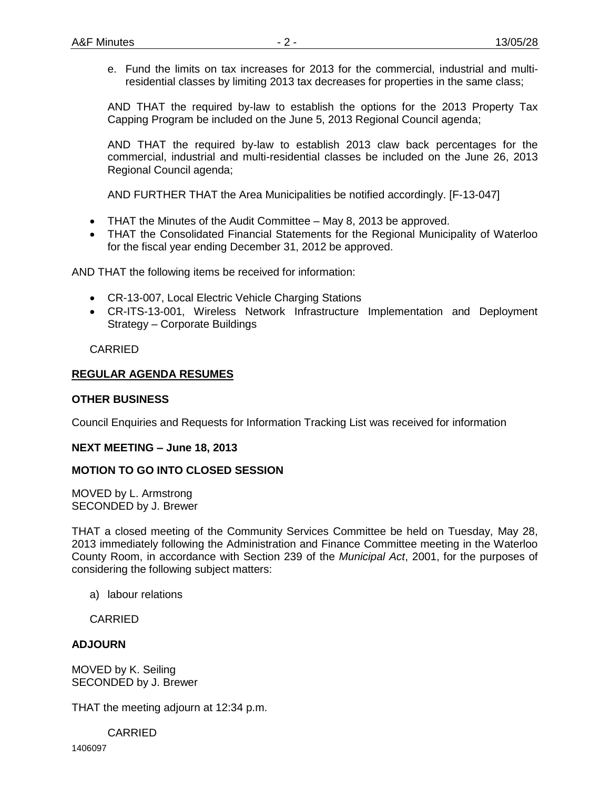e. Fund the limits on tax increases for 2013 for the commercial, industrial and multiresidential classes by limiting 2013 tax decreases for properties in the same class;

AND THAT the required by-law to establish the options for the 2013 Property Tax Capping Program be included on the June 5, 2013 Regional Council agenda;

AND THAT the required by-law to establish 2013 claw back percentages for the commercial, industrial and multi-residential classes be included on the June 26, 2013 Regional Council agenda;

AND FURTHER THAT the Area Municipalities be notified accordingly. [F-13-047]

- THAT the Minutes of the Audit Committee May 8, 2013 be approved.
- THAT the Consolidated Financial Statements for the Regional Municipality of Waterloo for the fiscal year ending December 31, 2012 be approved.

AND THAT the following items be received for information:

- CR-13-007, Local Electric Vehicle Charging Stations
- CR-ITS-13-001, Wireless Network Infrastructure Implementation and Deployment Strategy – Corporate Buildings

CARRIED

## **REGULAR AGENDA RESUMES**

### **OTHER BUSINESS**

Council Enquiries and Requests for Information Tracking List was received for information

#### **NEXT MEETING – June 18, 2013**

#### **MOTION TO GO INTO CLOSED SESSION**

MOVED by L. Armstrong SECONDED by J. Brewer

THAT a closed meeting of the Community Services Committee be held on Tuesday, May 28, 2013 immediately following the Administration and Finance Committee meeting in the Waterloo County Room, in accordance with Section 239 of the *Municipal Act*, 2001, for the purposes of considering the following subject matters:

a) labour relations

CARRIED

#### **ADJOURN**

MOVED by K. Seiling SECONDED by J. Brewer

THAT the meeting adjourn at 12:34 p.m.

CARRIED